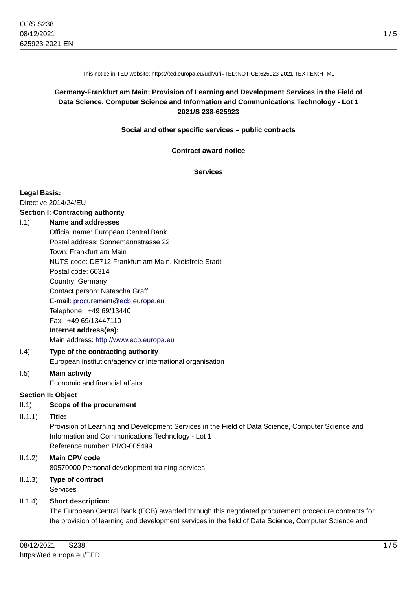This notice in TED website: https://ted.europa.eu/udl?uri=TED:NOTICE:625923-2021:TEXT:EN:HTML

## **Germany-Frankfurt am Main: Provision of Learning and Development Services in the Field of Data Science, Computer Science and Information and Communications Technology - Lot 1 2021/S 238-625923**

**Social and other specific services – public contracts**

**Contract award notice**

**Services**

#### **Legal Basis:**

Directive 2014/24/EU

# **Section I: Contracting authority**

#### I.1) **Name and addresses**

Official name: European Central Bank Postal address: Sonnemannstrasse 22 Town: Frankfurt am Main NUTS code: DE712 Frankfurt am Main, Kreisfreie Stadt Postal code: 60314 Country: Germany Contact person: Natascha Graff E-mail: [procurement@ecb.europa.eu](mailto:procurement@ecb.europa.eu) Telephone: +49 69/13440 Fax: +49 69/13447110 **Internet address(es):** Main address:<http://www.ecb.europa.eu>

## I.4) **Type of the contracting authority** European institution/agency or international organisation

#### I.5) **Main activity** Economic and financial affairs

#### **Section II: Object**

II.1) **Scope of the procurement**

#### II.1.1) **Title:**

Provision of Learning and Development Services in the Field of Data Science, Computer Science and Information and Communications Technology - Lot 1 Reference number: PRO-005499

# II.1.2) **Main CPV code** 80570000 Personal development training services

II.1.3) **Type of contract Services** 

## II.1.4) **Short description:**

The European Central Bank (ECB) awarded through this negotiated procurement procedure contracts for the provision of learning and development services in the field of Data Science, Computer Science and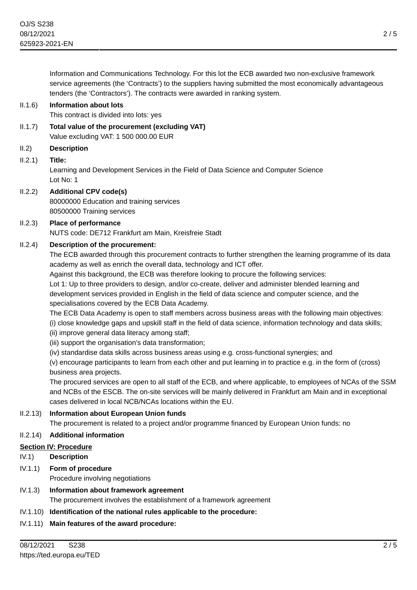Information and Communications Technology. For this lot the ECB awarded two non-exclusive framework service agreements (the 'Contracts') to the suppliers having submitted the most economically advantageous tenders (the 'Contractors'). The contracts were awarded in ranking system.

#### II.1.6) **Information about lots**

This contract is divided into lots: yes

- II.1.7) **Total value of the procurement (excluding VAT)** Value excluding VAT: 1 500 000.00 EUR
- II.2) **Description**
- II.2.1) **Title:**

Learning and Development Services in the Field of Data Science and Computer Science Lot No: 1

## II.2.2) **Additional CPV code(s)**

80000000 Education and training services 80500000 Training services

#### II.2.3) **Place of performance**

NUTS code: DE712 Frankfurt am Main, Kreisfreie Stadt

#### II.2.4) **Description of the procurement:**

The ECB awarded through this procurement contracts to further strengthen the learning programme of its data academy as well as enrich the overall data, technology and ICT offer.

Against this background, the ECB was therefore looking to procure the following services:

Lot 1: Up to three providers to design, and/or co-create, deliver and administer blended learning and development services provided in English in the field of data science and computer science, and the specialisations covered by the ECB Data Academy.

The ECB Data Academy is open to staff members across business areas with the following main objectives:

(i) close knowledge gaps and upskill staff in the field of data science, information technology and data skills;

- (ii) improve general data literacy among staff;
- (iii) support the organisation's data transformation;
- (iv) standardise data skills across business areas using e.g. cross-functional synergies; and

(v) encourage participants to learn from each other and put learning in to practice e.g. in the form of (cross) business area projects.

The procured services are open to all staff of the ECB, and where applicable, to employees of NCAs of the SSM and NCBs of the ESCB. The on-site services will be mainly delivered in Frankfurt am Main and in exceptional cases delivered in local NCB/NCAs locations within the EU.

## II.2.13) **Information about European Union funds**

The procurement is related to a project and/or programme financed by European Union funds: no

## II.2.14) **Additional information**

## **Section IV: Procedure**

- IV.1) **Description**
- IV.1.1) **Form of procedure**
	- Procedure involving negotiations
- IV.1.3) **Information about framework agreement** The procurement involves the establishment of a framework agreement
- IV.1.10) **Identification of the national rules applicable to the procedure:**
- IV.1.11) **Main features of the award procedure:**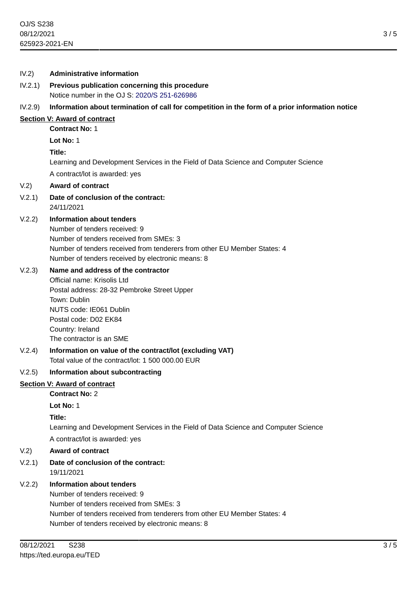# IV.2) **Administrative information** IV.2.1) **Previous publication concerning this procedure** Notice number in the OJ S: [2020/S 251-626986](https://ted.europa.eu/udl?uri=TED:NOTICE:626986-2020:TEXT:EN:HTML) IV.2.9) **Information about termination of call for competition in the form of a prior information notice Section V: Award of contract Contract No:** 1 **Lot No:** 1 **Title:** Learning and Development Services in the Field of Data Science and Computer Science A contract/lot is awarded: yes V.2) **Award of contract** V.2.1) **Date of conclusion of the contract:** 24/11/2021 V.2.2) **Information about tenders** Number of tenders received: 9 Number of tenders received from SMEs: 3 Number of tenders received from tenderers from other EU Member States: 4 Number of tenders received by electronic means: 8 V.2.3) **Name and address of the contractor** Official name: Krisolis Ltd Postal address: 28-32 Pembroke Street Upper Town: Dublin NUTS code: IE061 Dublin Postal code: D02 EK84 Country: Ireland The contractor is an SME V.2.4) **Information on value of the contract/lot (excluding VAT)** Total value of the contract/lot: 1 500 000.00 EUR V.2.5) **Information about subcontracting Section V: Award of contract Contract No:** 2 **Lot No:** 1 **Title:** Learning and Development Services in the Field of Data Science and Computer Science A contract/lot is awarded: yes V.2) **Award of contract** V.2.1) **Date of conclusion of the contract:** 19/11/2021 V.2.2) **Information about tenders**

Number of tenders received: 9 Number of tenders received from SMEs: 3 Number of tenders received from tenderers from other EU Member States: 4 Number of tenders received by electronic means: 8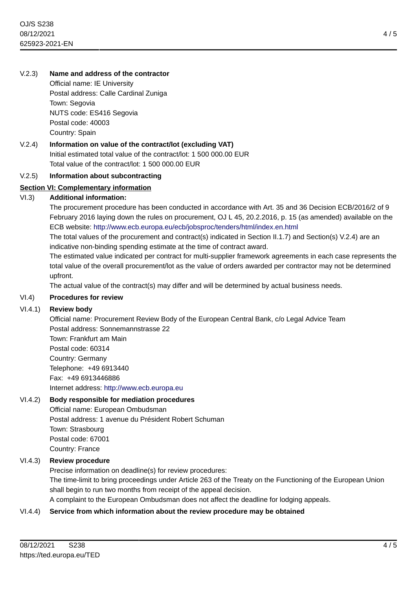## V.2.3) **Name and address of the contractor**

Official name: IE University Postal address: Calle Cardinal Zuniga Town: Segovia NUTS code: ES416 Segovia Postal code: 40003 Country: Spain

V.2.4) **Information on value of the contract/lot (excluding VAT)** Initial estimated total value of the contract/lot: 1 500 000.00 EUR Total value of the contract/lot: 1 500 000.00 EUR

#### V.2.5) **Information about subcontracting**

## **Section VI: Complementary information**

## VI.3) **Additional information:**

The procurement procedure has been conducted in accordance with Art. 35 and 36 Decision ECB/2016/2 of 9 February 2016 laying down the rules on procurement, OJ L 45, 20.2.2016, p. 15 (as amended) available on the ECB website: <http://www.ecb.europa.eu/ecb/jobsproc/tenders/html/index.en.html>

The total values of the procurement and contract(s) indicated in Section II.1.7) and Section(s) V.2.4) are an indicative non-binding spending estimate at the time of contract award.

The estimated value indicated per contract for multi-supplier framework agreements in each case represents the total value of the overall procurement/lot as the value of orders awarded per contractor may not be determined upfront.

The actual value of the contract(s) may differ and will be determined by actual business needs.

#### VI.4) **Procedures for review**

## VI.4.1) **Review body**

Official name: Procurement Review Body of the European Central Bank, c/o Legal Advice Team Postal address: Sonnemannstrasse 22 Town: Frankfurt am Main Postal code: 60314

Country: Germany Telephone: +49 6913440 Fax: +49 6913446886 Internet address: <http://www.ecb.europa.eu>

## VI.4.2) **Body responsible for mediation procedures**

Official name: European Ombudsman Postal address: 1 avenue du Président Robert Schuman Town: Strasbourg Postal code: 67001 Country: France

## VI.4.3) **Review procedure**

Precise information on deadline(s) for review procedures:

The time-limit to bring proceedings under Article 263 of the Treaty on the Functioning of the European Union shall begin to run two months from receipt of the appeal decision.

A complaint to the European Ombudsman does not affect the deadline for lodging appeals.

#### VI.4.4) **Service from which information about the review procedure may be obtained**